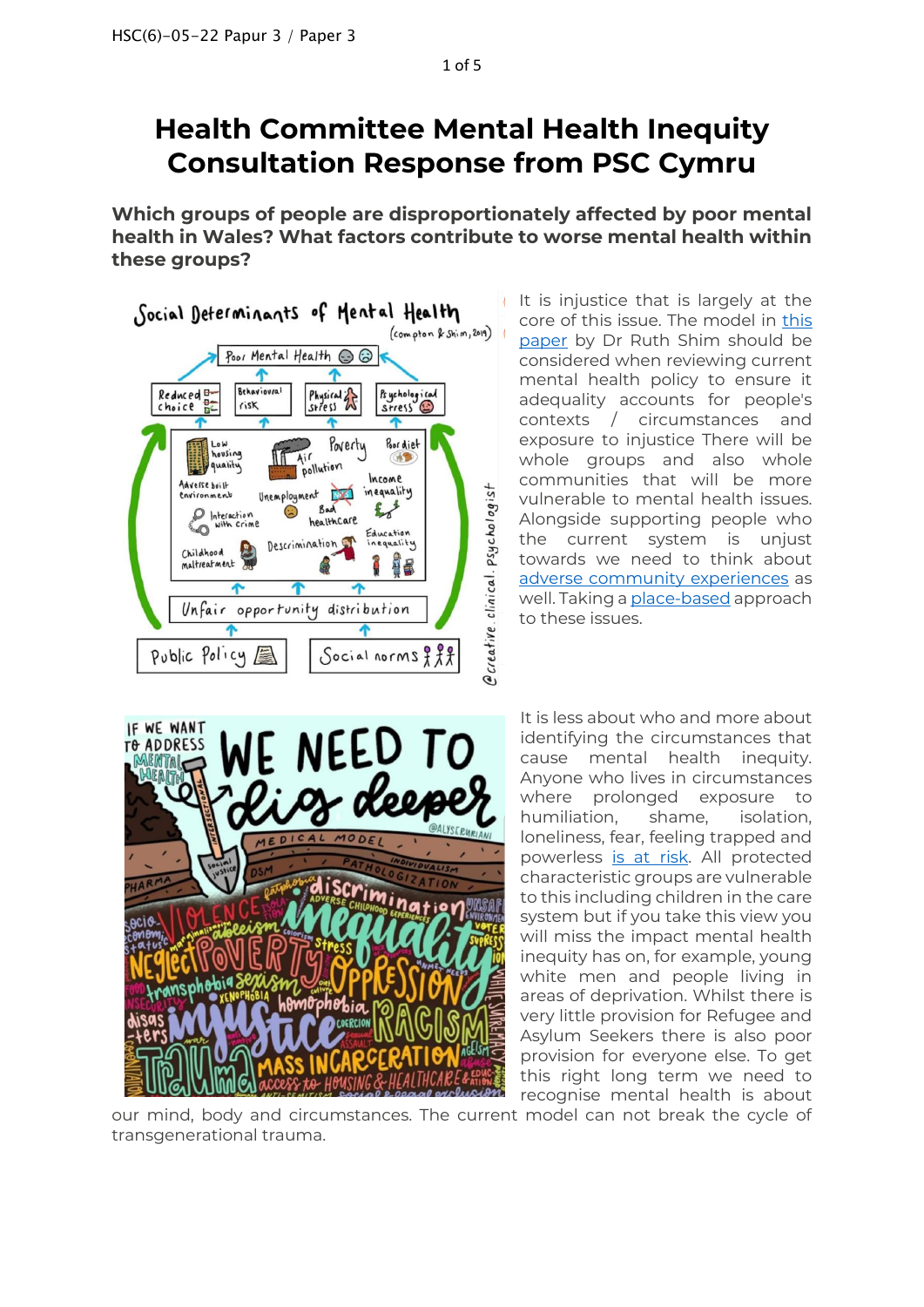# **Health Committee Mental Health Inequity Consultation Response from PSC Cymru**

**Which groups of people are disproportionately affected by poor mental health in Wales? What factors contribute to worse mental health within these groups?**



It is injustice that is largely at the core of this issue. The model in [this](https://pubmed.ncbi.nlm.nih.gov/29852822/)  [paper](https://pubmed.ncbi.nlm.nih.gov/29852822/) by Dr Ruth Shim should be considered when reviewing current mental health policy to ensure it adequality accounts for people's contexts / circumstances and exposure to injustice There will be whole groups and also whole communities that will be more vulnerable to mental health issues. Alongside supporting people who the current system is unjust towards we need to think about adverse [community experiences](https://www.preventioninstitute.org/sites/default/files/publications/Adverse%20Community%20Experiences%20and%20Resilience.pdf) as well. Taking [a place-based](https://thepsychologist.bps.org.uk/volume-34/summer-edition/landscape-poverty) approach to these issues.



It is less about who and more about identifying the circumstances that cause mental health inequity. Anyone who lives in circumstances where prolonged exposure to humiliation, shame, isolation, loneliness, fear, feeling trapped and powerless [is at risk.](http://www.psychchange.org/uploads/9/7/9/7/97971280/paa_briefing_paper.pdf) All protected characteristic groups are vulnerable to this including children in the care system but if you take this view you will miss the impact mental health inequity has on, for example, young white men and people living in areas of deprivation. Whilst there is very little provision for Refugee and Asylum Seekers there is also poor provision for everyone else. To get this right long term we need to recognise mental health is about

our mind, body and circumstances. The current model can not break the cycle of transgenerational trauma.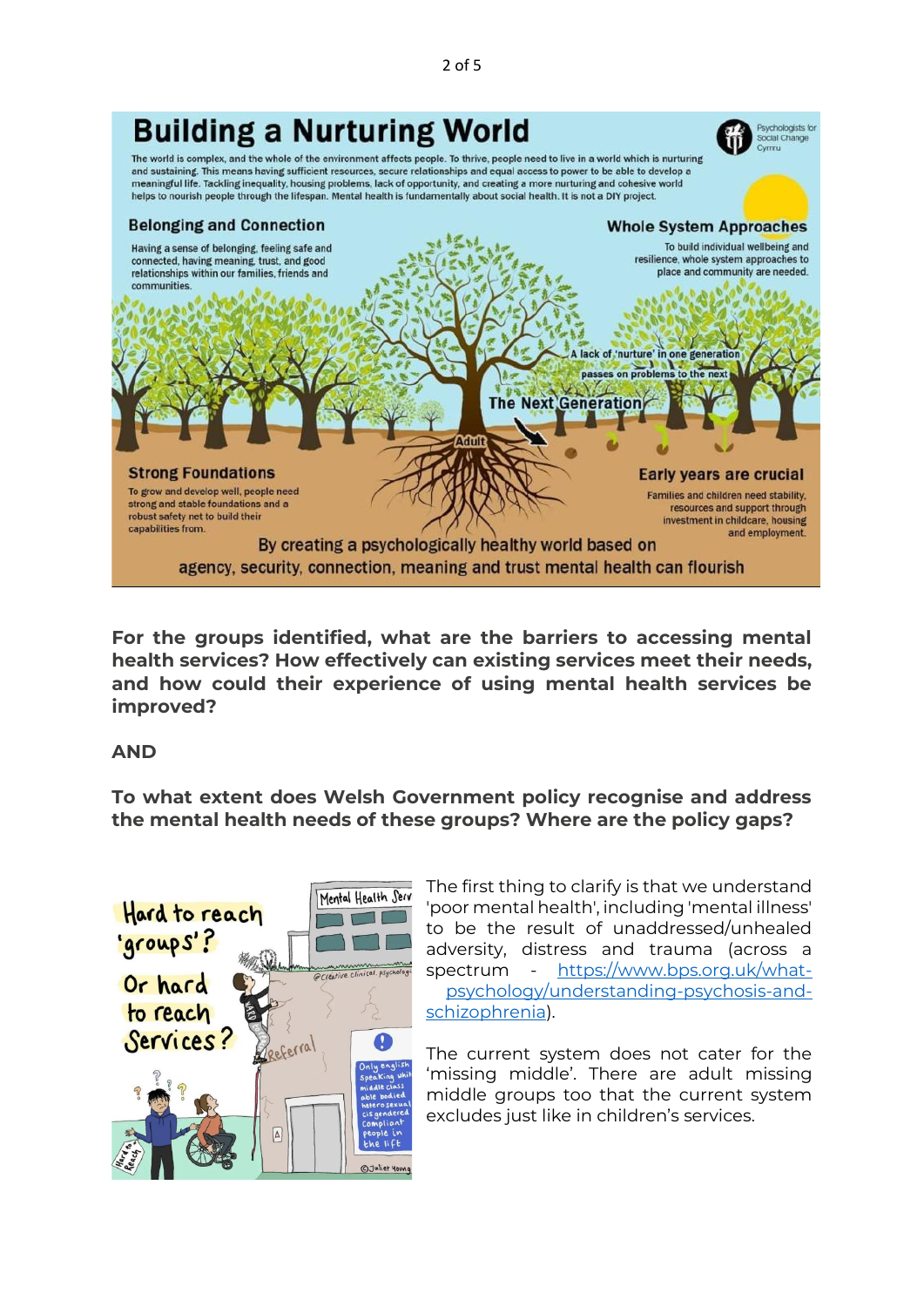

**For the groups identified, what are the barriers to accessing mental health services? How effectively can existing services meet their needs, and how could their experience of using mental health services be improved?**

## **AND**

**To what extent does Welsh Government policy recognise and address the mental health needs of these groups? Where are the policy gaps?**



The first thing to clarify is that we understand 'poor mental health', including 'mental illness' to be the result of unaddressed/unhealed adversity, distress and trauma (across a spectrum - [https://www.bps.org.uk/what](https://www.bps.org.uk/what-psychology/understanding-psychosis-and-schizophrenia)[psychology/understanding-psychosis-and](https://www.bps.org.uk/what-psychology/understanding-psychosis-and-schizophrenia)[schizophrenia\)](https://www.bps.org.uk/what-psychology/understanding-psychosis-and-schizophrenia).

The current system does not cater for the 'missing middle'. There are adult missing middle groups too that the current system excludes just like in children's services.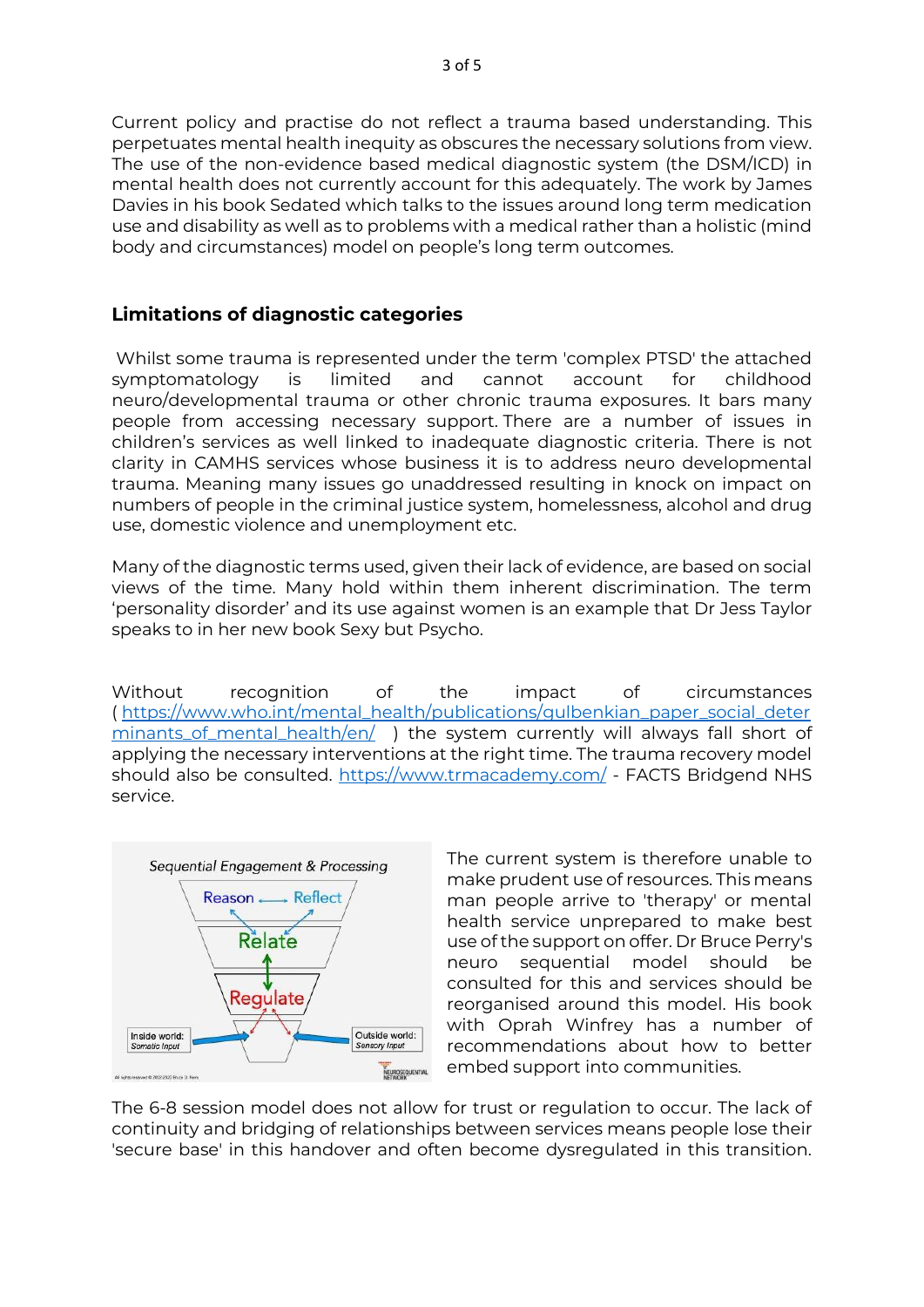Current policy and practise do not reflect a trauma based understanding. This perpetuates mental health inequity as obscures the necessary solutions from view. The use of the non-evidence based medical diagnostic system (the DSM/ICD) in mental health does not currently account for this adequately. The work by James Davies in his book Sedated which talks to the issues around long term medication use and disability as well as to problems with a medical rather than a holistic (mind body and circumstances) model on people's long term outcomes.

## **Limitations of diagnostic categories**

Whilst some trauma is represented under the term 'complex PTSD' the attached symptomatology is limited and cannot account for childhood neuro/developmental trauma or other chronic trauma exposures. It bars many people from accessing necessary support. There are a number of issues in children's services as well linked to inadequate diagnostic criteria. There is not clarity in CAMHS services whose business it is to address neuro developmental trauma. Meaning many issues go unaddressed resulting in knock on impact on numbers of people in the criminal justice system, homelessness, alcohol and drug use, domestic violence and unemployment etc.

Many of the diagnostic terms used, given their lack of evidence, are based on social views of the time. Many hold within them inherent discrimination. The term 'personality disorder' and its use against women is an example that Dr Jess Taylor speaks to in her new book Sexy but Psycho.

Without recognition of the impact of circumstances ( [https://www.who.int/mental\\_health/publications/gulbenkian\\_paper\\_social\\_deter](https://www.who.int/mental_health/publications/gulbenkian_paper_social_determinants_of_mental_health/en/) [minants\\_of\\_mental\\_health/en/](https://www.who.int/mental_health/publications/gulbenkian_paper_social_determinants_of_mental_health/en/) ) the system currently will always fall short of applying the necessary interventions at the right time. The trauma recovery model should also be consulted.<https://www.trmacademy.com/> - FACTS Bridgend NHS service.



The current system is therefore unable to make prudent use of resources. This means man people arrive to 'therapy' or mental health service unprepared to make best use of the support on offer. Dr Bruce Perry's neuro sequential model should be consulted for this and services should be reorganised around this model. His book with Oprah Winfrey has a number of recommendations about how to better embed support into communities.

The 6-8 session model does not allow for trust or regulation to occur. The lack of continuity and bridging of relationships between services means people lose their 'secure base' in this handover and often become dysregulated in this transition.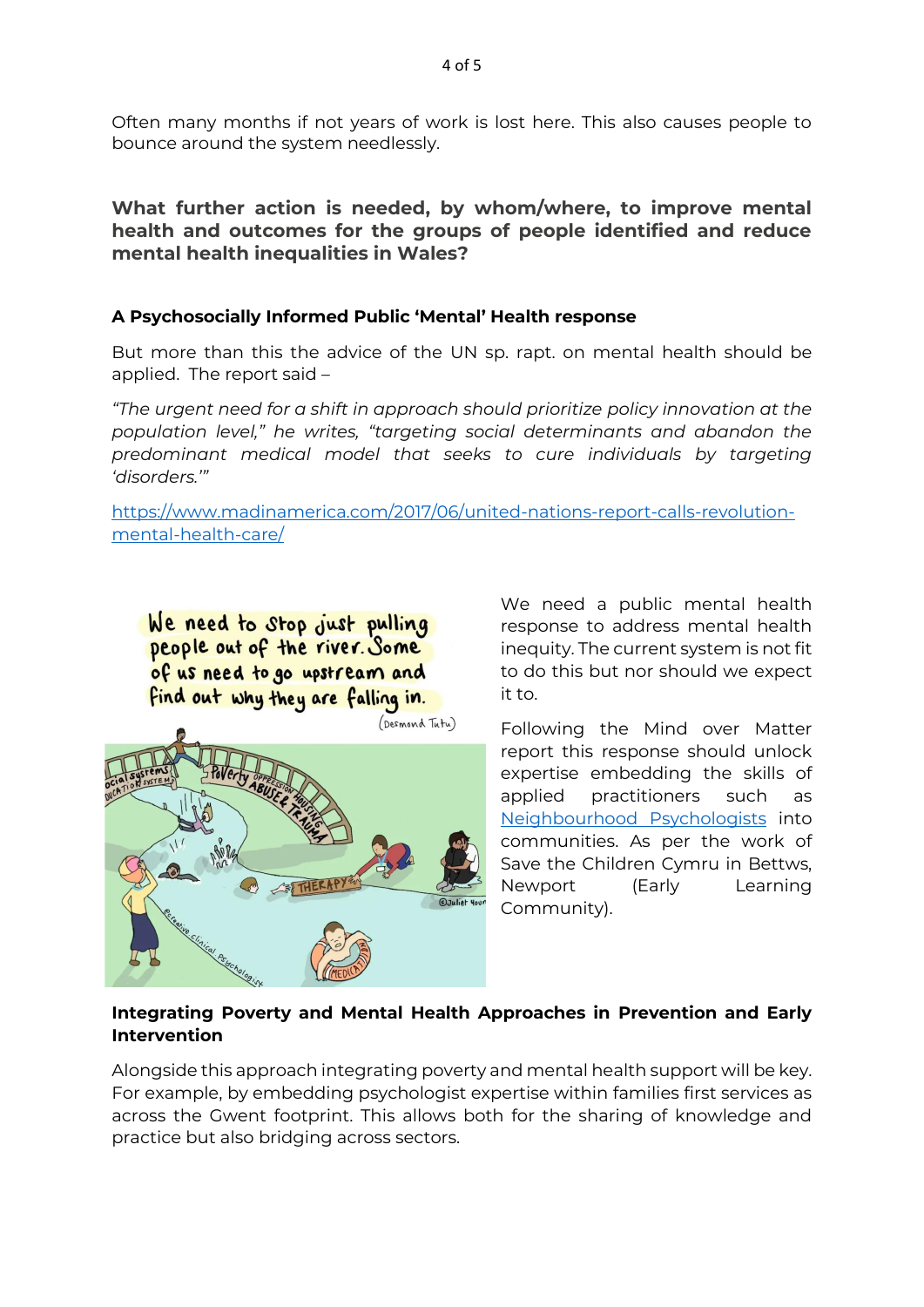Often many months if not years of work is lost here. This also causes people to bounce around the system needlessly.

## **What further action is needed, by whom/where, to improve mental health and outcomes for the groups of people identified and reduce mental health inequalities in Wales?**

## **A Psychosocially Informed Public 'Mental' Health response**

But more than this the advice of the UN sp. rapt. on mental health should be applied. The report said –

*"The urgent need for a shift in approach should prioritize policy innovation at the population level," he writes, "targeting social determinants and abandon the predominant medical model that seeks to cure individuals by targeting 'disorders.'"*

[https://www.madinamerica.com/2017/06/united-nations-report-calls-revolution](https://www.madinamerica.com/2017/06/united-nations-report-calls-revolution-mental-health-care/)[mental-health-care/](https://www.madinamerica.com/2017/06/united-nations-report-calls-revolution-mental-health-care/)

We need to stop just pulling people out of the river. Some of us need to go upstream and find out why they are falling in.



We need a public mental health response to address mental health inequity. The current system is not fit to do this but nor should we expect it to.

Following the Mind over Matter report this response should unlock expertise embedding the skills of applied practitioners such as [Neighbourhood Psychologists](https://www.bps.org.uk/sites/www.bps.org.uk/files/Policy/Policy%20-%20Files/Neighbourhood%20Community%20Psychologist.pdf) into communities. As per the work of Save the Children Cymru in Bettws, Newport (Early Learning Community).

## **Integrating Poverty and Mental Health Approaches in Prevention and Early Intervention**

Alongside this approach integrating poverty and mental health support will be key. For example, by embedding psychologist expertise within families first services as across the Gwent footprint. This allows both for the sharing of knowledge and practice but also bridging across sectors.